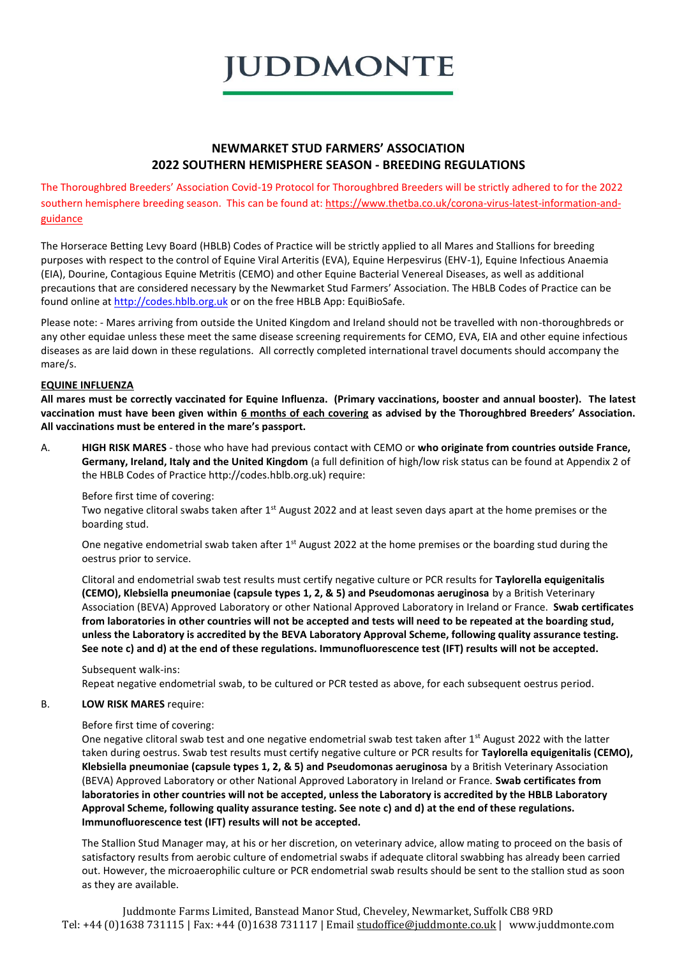

# **NEWMARKET STUD FARMERS' ASSOCIATION 2022 SOUTHERN HEMISPHERE SEASON - BREEDING REGULATIONS**

The Thoroughbred Breeders' Association Covid-19 Protocol for Thoroughbred Breeders will be strictly adhered to for the 2022 southern hemisphere breeding season. This can be found at: [https://www.thetba.co.uk/corona-virus-latest-information-and](https://www.thetba.co.uk/corona-virus-latest-information-and-guidance)[guidance](https://www.thetba.co.uk/corona-virus-latest-information-and-guidance)

The Horserace Betting Levy Board (HBLB) Codes of Practice will be strictly applied to all Mares and Stallions for breeding purposes with respect to the control of Equine Viral Arteritis (EVA), Equine Herpesvirus (EHV-1), Equine Infectious Anaemia (EIA), Dourine, Contagious Equine Metritis (CEMO) and other Equine Bacterial Venereal Diseases, as well as additional precautions that are considered necessary by the Newmarket Stud Farmers' Association. The HBLB Codes of Practice can be found online a[t http://codes.hblb.org.uk](http://codes.hblb.org.uk/) or on the free HBLB App: EquiBioSafe.

Please note: - Mares arriving from outside the United Kingdom and Ireland should not be travelled with non-thoroughbreds or any other equidae unless these meet the same disease screening requirements for CEMO, EVA, EIA and other equine infectious diseases as are laid down in these regulations. All correctly completed international travel documents should accompany the mare/s.

## **EQUINE INFLUENZA**

**All mares must be correctly vaccinated for Equine Influenza. (Primary vaccinations, booster and annual booster). The latest vaccination must have been given within 6 months of each covering as advised by the Thoroughbred Breeders' Association. All vaccinations must be entered in the mare's passport.**

A. **HIGH RISK MARES** - those who have had previous contact with CEMO or **who originate from countries outside France, Germany, Ireland, Italy and the United Kingdom** (a full definition of high/low risk status can be found at Appendix 2 of the HBLB Codes of Practice http://codes.hblb.org.uk) require:

Before first time of covering:

Two negative clitoral swabs taken after  $1<sup>st</sup>$  August 2022 and at least seven days apart at the home premises or the boarding stud.

One negative endometrial swab taken after 1<sup>st</sup> August 2022 at the home premises or the boarding stud during the oestrus prior to service.

Clitoral and endometrial swab test results must certify negative culture or PCR results for **Taylorella equigenitalis (CEMO), Klebsiella pneumoniae (capsule types 1, 2, & 5) and Pseudomonas aeruginosa** by a British Veterinary Association (BEVA) Approved Laboratory or other National Approved Laboratory in Ireland or France. **Swab certificates from laboratories in other countries will not be accepted and tests will need to be repeated at the boarding stud, unless the Laboratory is accredited by the BEVA Laboratory Approval Scheme, following quality assurance testing. See note c) and d) at the end of these regulations. Immunofluorescence test (IFT) results will not be accepted.** 

Subsequent walk-ins:

Repeat negative endometrial swab, to be cultured or PCR tested as above, for each subsequent oestrus period.

### B. **LOW RISK MARES** require:

Before first time of covering:

One negative clitoral swab test and one negative endometrial swab test taken after 1<sup>st</sup> August 2022 with the latter taken during oestrus. Swab test results must certify negative culture or PCR results for **Taylorella equigenitalis (CEMO), Klebsiella pneumoniae (capsule types 1, 2, & 5) and Pseudomonas aeruginosa** by a British Veterinary Association (BEVA) Approved Laboratory or other National Approved Laboratory in Ireland or France. **Swab certificates from laboratories in other countries will not be accepted, unless the Laboratory is accredited by the HBLB Laboratory Approval Scheme, following quality assurance testing. See note c) and d) at the end of these regulations. Immunofluorescence test (IFT) results will not be accepted.** 

The Stallion Stud Manager may, at his or her discretion, on veterinary advice, allow mating to proceed on the basis of satisfactory results from aerobic culture of endometrial swabs if adequate clitoral swabbing has already been carried out. However, the microaerophilic culture or PCR endometrial swab results should be sent to the stallion stud as soon as they are available.